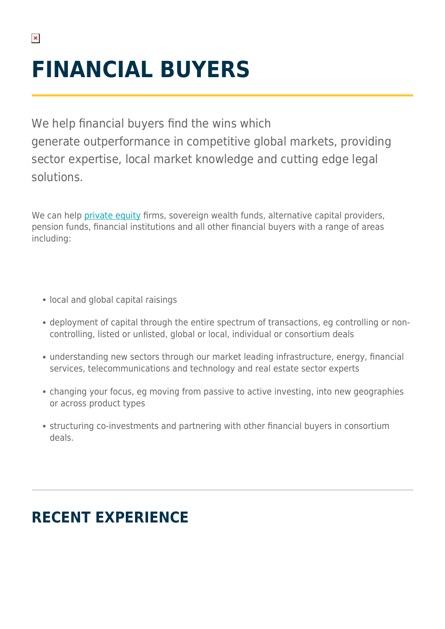# **FINANCIAL BUYERS**

We help financial buyers find the wins which generate outperformance in competitive global markets, providing sector expertise, local market knowledge and cutting edge legal solutions.

We can help [private equity](https://www.herbertsmithfreehills.com/our-expertise/services/private-equity) firms, sovereign wealth funds, alternative capital providers, pension funds, financial institutions and all other financial buyers with a range of areas including:

- local and global capital raisings
- deployment of capital through the entire spectrum of transactions, eg controlling or noncontrolling, listed or unlisted, global or local, individual or consortium deals
- understanding new sectors through our market leading infrastructure, energy, financial services, telecommunications and technology and real estate sector experts
- changing your focus, eg moving from passive to active investing, into new geographies or across product types
- structuring co-investments and partnering with other financial buyers in consortium deals.

## **RECENT EXPERIENCE**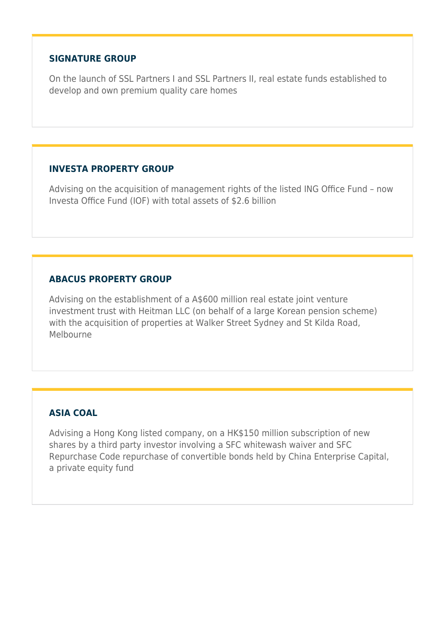#### **SIGNATURE GROUP**

On the launch of SSL Partners I and SSL Partners II, real estate funds established to develop and own premium quality care homes

#### **INVESTA PROPERTY GROUP**

Advising on the acquisition of management rights of the listed ING Office Fund – now Investa Office Fund (IOF) with total assets of \$2.6 billion

#### **ABACUS PROPERTY GROUP**

Advising on the establishment of a A\$600 million real estate joint venture investment trust with Heitman LLC (on behalf of a large Korean pension scheme) with the acquisition of properties at Walker Street Sydney and St Kilda Road, Melbourne

#### **ASIA COAL**

Advising a Hong Kong listed company, on a HK\$150 million subscription of new shares by a third party investor involving a SFC whitewash waiver and SFC Repurchase Code repurchase of convertible bonds held by China Enterprise Capital, a private equity fund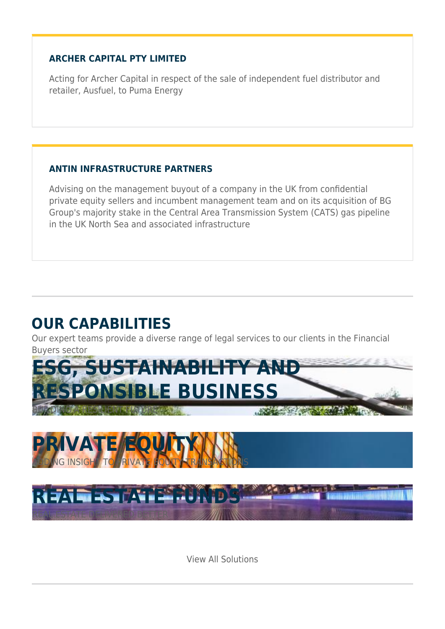#### **ARCHER CAPITAL PTY LIMITED**

Acting for Archer Capital in respect of the sale of independent fuel distributor and retailer, Ausfuel, to Puma Energy

#### **ANTIN INFRASTRUCTURE PARTNERS**

Advising on the management buyout of a company in the UK from confidential private equity sellers and incumbent management team and on its acquisition of BG Group's majority stake in the Central Area Transmission System (CATS) gas pipeline in the UK North Sea and associated infrastructure

## **OUR CAPABILITIES**

Our expert teams provide a diverse range of legal services to our clients in the Financial Buyers sector







View All Solutions